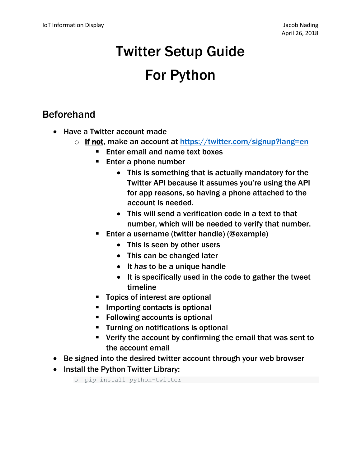# Twitter Setup Guide For Python

### Beforehand

- Have a Twitter account made
	- o If not, make an account at https://twitter.com/signup?lang=en
		- Enter email and name text boxes
		- Enter a phone number
			- This is something that is actually mandatory for the Twitter API because it assumes you're using the API for app reasons, so having a phone attached to the account is needed.
			- This will send a verification code in a text to that number, which will be needed to verify that number.
		- Enter a username (twitter handle) (@example)
			- This is seen by other users
			- This can be changed later
			- It *has* to be a unique handle
			- It is specifically used in the code to gather the tweet timeline
		- Topics of interest are optional
		- Importing contacts is optional
		- Following accounts is optional
		- Turning on notifications is optional
		- Verify the account by confirming the email that was sent to the account email
- Be signed into the desired twitter account through your web browser
- Install the Python Twitter Library:
	- o pip install python-twitter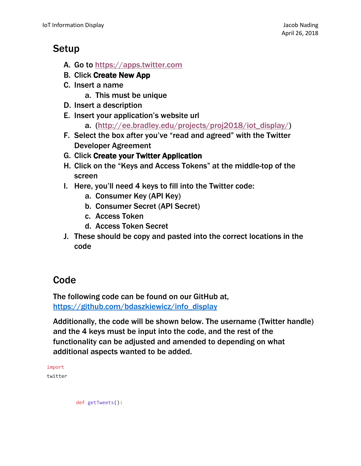#### Setup

- A. Go to [https://apps.twitter.com](https://apps.twitter.com/)
- B. Click Create New App
- C. Insert a name
	- a. This must be unique
- D. Insert a description
- E. Insert your application's website url
	- a. [\(http://ee.bradley.edu/projects/proj2018/iot\\_display/\)](http://ee.bradley.edu/projects/proj2018/iot_display/)
- F. Select the box after you've "read and agreed" with the Twitter Developer Agreement
- G. Click Create your Twitter Application
- H. Click on the "Keys and Access Tokens" at the middle-top of the screen
- I. Here, you'll need 4 keys to fill into the Twitter code:
	- a. Consumer Key (API Key)
	- b. Consumer Secret (API Secret)
	- c. Access Token
	- d. Access Token Secret
- J. These should be copy and pasted into the correct locations in the code

## Code

The following code can be found on our GitHub at, [https://github.com/bdaszkiewicz/info\\_display](https://github.com/bdaszkiewicz/info_display)

Additionally, the code will be shown below. The username (Twitter handle) and the 4 keys must be input into the code, and the rest of the functionality can be adjusted and amended to depending on what additional aspects wanted to be added.

| import  |  |
|---------|--|
| twitter |  |
|         |  |

def getTweets():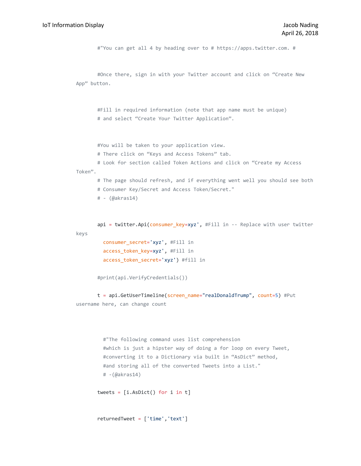#"You can get all 4 by heading over to # https://apps.twitter.com. #

```
#Once there, sign in with your Twitter account and click on "Create New 
App" button.
```
#Fill in required information (note that app name must be unique) # and select "Create Your Twitter Application".

#You will be taken to your application view.

# There click on "Keys and Access Tokens" tab.

# Look for section called Token Actions and click on "Create my Access Token".

# The page should refresh, and if everything went well you should see both

- # Consumer Key/Secret and Access Token/Secret."
- # (@akras14)

api = twitter.Api(consumer\_key=xyz', #Fill in -- Replace with user twitter keys

```
 consumer_secret='xyz', #Fill in
 access_token_key=xyz', #Fill in
 access_token_secret='xyz') #fill in
```
#print(api.VerifyCredentials())

t = api.GetUserTimeline(screen name="realDonaldTrump", count=5) #Put username here, can change count

```
 #"The following command uses list comprehension 
 #which is just a hipster way of doing a for loop on every Tweet, 
 #converting it to a Dictionary via built in "AsDict" method, 
 #and storing all of the converted Tweets into a List."
 # -(@akras14)
```
tweets = [i.AsDict() for i in t]

```
returnedTweet = ['time','text']
```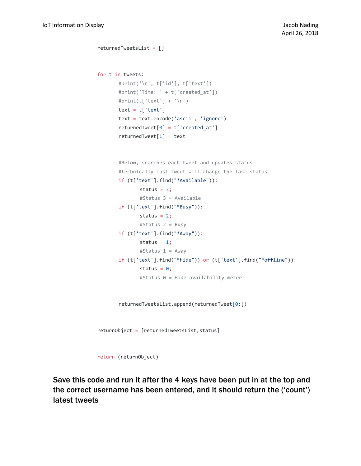```
returnedTweetsList = []
for t in tweets:
       #print('\n', t['id'], t['text'])
       #print('Time: ' + t['created_at'])
       #print(t['text'] + '\n')
       text = t['text']text = text.encode('ascii', 'ignore')
       returnedTwoet[0] = t['created_at']returnedTweet[1] = text
       #Below, searches each tweet and updates status
       #technically last tweet will change the last status
       if (t['text'].find("*Available")):
              status = 3;
              #Status 3 = Available
       if (t['text'].find("*Busy")):
              status = 2;#Status 2 = Busy
       if (t['text'].find("*Away")):
              status = 1;
              #Status 1 = Away
       if (t['text'].find("*hide")) or (t['text'].find("*offline")):
              status = 0;
              #Status 0 = Hide availability meter
       returnedTweetsList.append(returnedTweet[0:])
returnObject = [returnedTweetsList,status]
return (returnObject)
```
Save this code and run it after the 4 keys have been put in at the top and the correct username has been entered, and it should return the ('count') latest tweets